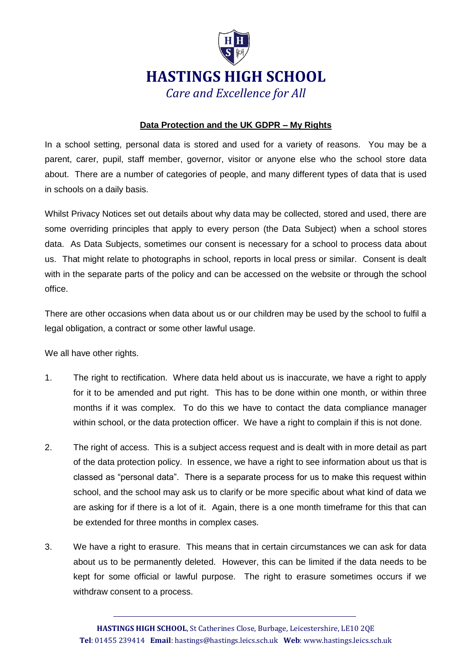

## **Data Protection and the UK GDPR – My Rights**

In a school setting, personal data is stored and used for a variety of reasons. You may be a parent, carer, pupil, staff member, governor, visitor or anyone else who the school store data about. There are a number of categories of people, and many different types of data that is used in schools on a daily basis.

Whilst Privacy Notices set out details about why data may be collected, stored and used, there are some overriding principles that apply to every person (the Data Subject) when a school stores data. As Data Subjects, sometimes our consent is necessary for a school to process data about us. That might relate to photographs in school, reports in local press or similar. Consent is dealt with in the separate parts of the policy and can be accessed on the website or through the school office.

There are other occasions when data about us or our children may be used by the school to fulfil a legal obligation, a contract or some other lawful usage.

We all have other rights.

- 1. The right to rectification. Where data held about us is inaccurate, we have a right to apply for it to be amended and put right. This has to be done within one month, or within three months if it was complex. To do this we have to contact the data compliance manager within school, or the data protection officer. We have a right to complain if this is not done.
- 2. The right of access. This is a subject access request and is dealt with in more detail as part of the data protection policy. In essence, we have a right to see information about us that is classed as "personal data". There is a separate process for us to make this request within school, and the school may ask us to clarify or be more specific about what kind of data we are asking for if there is a lot of it. Again, there is a one month timeframe for this that can be extended for three months in complex cases.
- 3. We have a right to erasure. This means that in certain circumstances we can ask for data about us to be permanently deleted. However, this can be limited if the data needs to be kept for some official or lawful purpose. The right to erasure sometimes occurs if we withdraw consent to a process.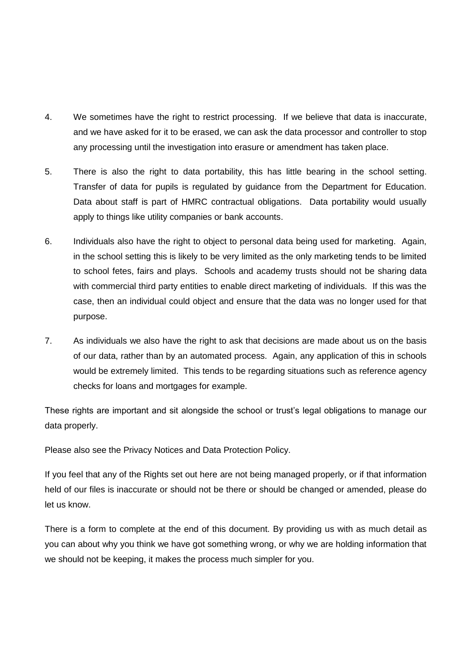- 4. We sometimes have the right to restrict processing. If we believe that data is inaccurate, and we have asked for it to be erased, we can ask the data processor and controller to stop any processing until the investigation into erasure or amendment has taken place.
- 5. There is also the right to data portability, this has little bearing in the school setting. Transfer of data for pupils is regulated by guidance from the Department for Education. Data about staff is part of HMRC contractual obligations. Data portability would usually apply to things like utility companies or bank accounts.
- 6. Individuals also have the right to object to personal data being used for marketing. Again, in the school setting this is likely to be very limited as the only marketing tends to be limited to school fetes, fairs and plays. Schools and academy trusts should not be sharing data with commercial third party entities to enable direct marketing of individuals. If this was the case, then an individual could object and ensure that the data was no longer used for that purpose.
- 7. As individuals we also have the right to ask that decisions are made about us on the basis of our data, rather than by an automated process. Again, any application of this in schools would be extremely limited. This tends to be regarding situations such as reference agency checks for loans and mortgages for example.

These rights are important and sit alongside the school or trust's legal obligations to manage our data properly.

Please also see the Privacy Notices and Data Protection Policy.

If you feel that any of the Rights set out here are not being managed properly, or if that information held of our files is inaccurate or should not be there or should be changed or amended, please do let us know.

There is a form to complete at the end of this document. By providing us with as much detail as you can about why you think we have got something wrong, or why we are holding information that we should not be keeping, it makes the process much simpler for you.